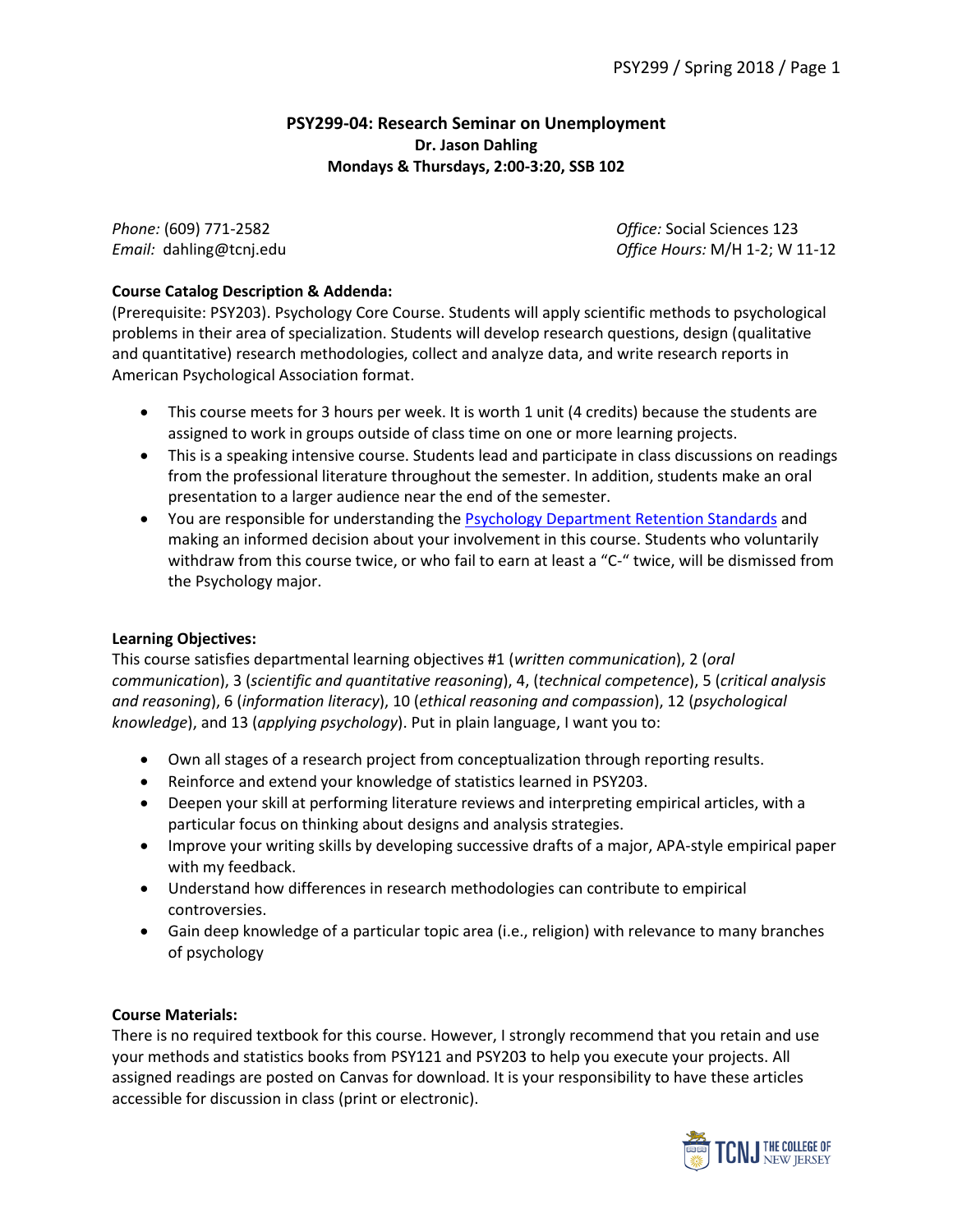## **PSY299-04: Research Seminar on Unemployment Dr. Jason Dahling Mondays & Thursdays, 2:00-3:20, SSB 102**

*Phone:* (609) 771-2582 *Office:* Social Sciences 123 *Email:* dahling@tcnj.edu *Office Hours:* M/H 1-2; W 11-12

# **Course Catalog Description & Addenda:**

(Prerequisite: PSY203). Psychology Core Course. Students will apply scientific methods to psychological problems in their area of specialization. Students will develop research questions, design (qualitative and quantitative) research methodologies, collect and analyze data, and write research reports in American Psychological Association format.

- This course meets for 3 hours per week. It is worth 1 unit (4 credits) because the students are assigned to work in groups outside of class time on one or more learning projects.
- This is a speaking intensive course. Students lead and participate in class discussions on readings from the professional literature throughout the semester. In addition, students make an oral presentation to a larger audience near the end of the semester.
- You are responsible for understanding the [Psychology Department](https://psychology.tcnj.edu/about/retention-policy/) Retention Standards and making an informed decision about your involvement in this course. Students who voluntarily withdraw from this course twice, or who fail to earn at least a "C-" twice, will be dismissed from the Psychology major.

# **Learning Objectives:**

This course satisfies departmental learning objectives #1 (*written communication*), 2 (*oral communication*), 3 (*scientific and quantitative reasoning*), 4, (*technical competence*), 5 (*critical analysis and reasoning*), 6 (*information literacy*), 10 (*ethical reasoning and compassion*), 12 (*psychological knowledge*), and 13 (*applying psychology*). Put in plain language, I want you to:

- Own all stages of a research project from conceptualization through reporting results.
- Reinforce and extend your knowledge of statistics learned in PSY203.
- Deepen your skill at performing literature reviews and interpreting empirical articles, with a particular focus on thinking about designs and analysis strategies.
- Improve your writing skills by developing successive drafts of a major, APA-style empirical paper with my feedback.
- Understand how differences in research methodologies can contribute to empirical controversies.
- Gain deep knowledge of a particular topic area (i.e., religion) with relevance to many branches of psychology

## **Course Materials:**

There is no required textbook for this course. However, I strongly recommend that you retain and use your methods and statistics books from PSY121 and PSY203 to help you execute your projects. All assigned readings are posted on Canvas for download. It is your responsibility to have these articles accessible for discussion in class (print or electronic).

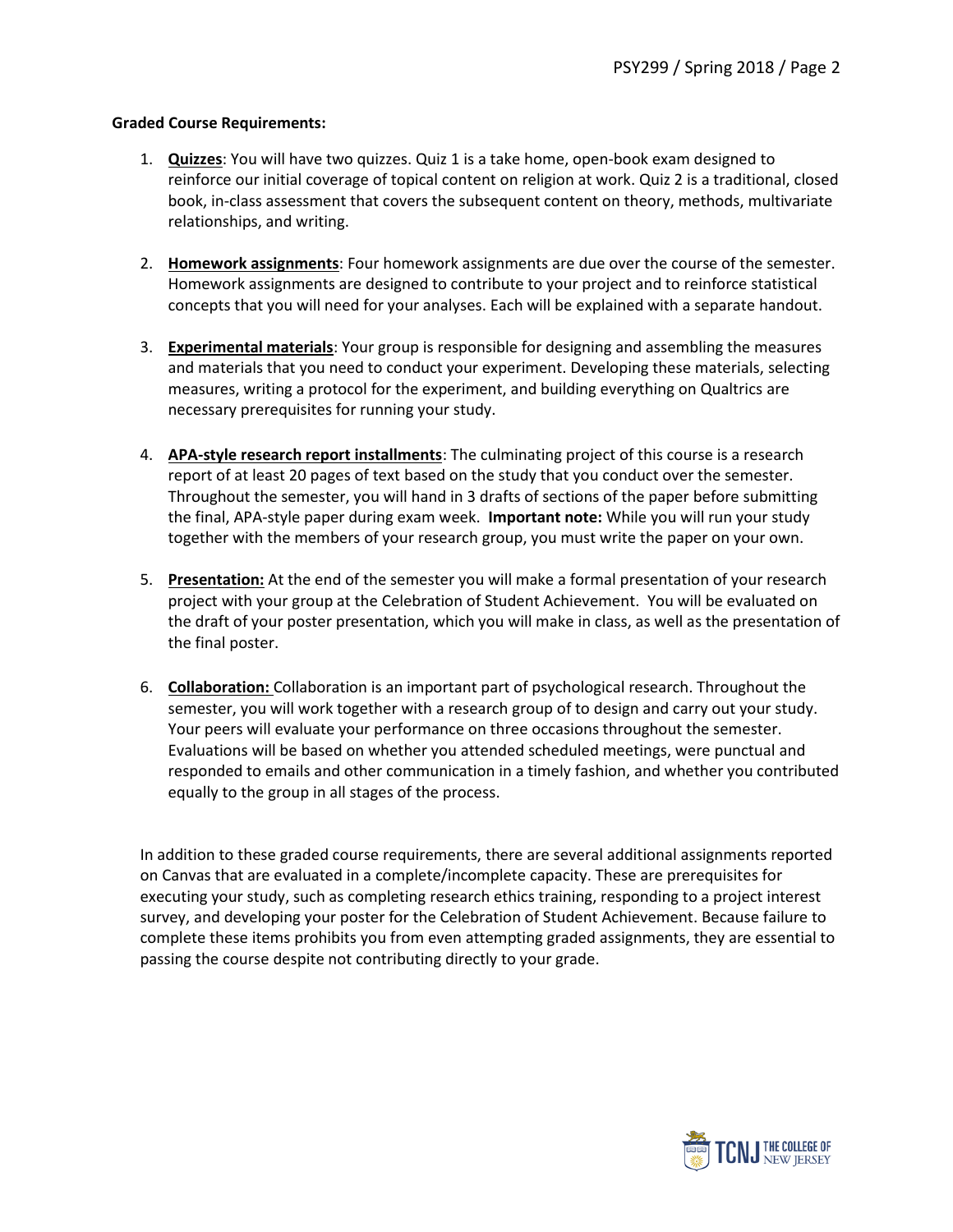#### **Graded Course Requirements:**

- 1. **Quizzes**: You will have two quizzes. Quiz 1 is a take home, open-book exam designed to reinforce our initial coverage of topical content on religion at work. Quiz 2 is a traditional, closed book, in-class assessment that covers the subsequent content on theory, methods, multivariate relationships, and writing.
- 2. **Homework assignments**: Four homework assignments are due over the course of the semester. Homework assignments are designed to contribute to your project and to reinforce statistical concepts that you will need for your analyses. Each will be explained with a separate handout.
- 3. **Experimental materials**: Your group is responsible for designing and assembling the measures and materials that you need to conduct your experiment. Developing these materials, selecting measures, writing a protocol for the experiment, and building everything on Qualtrics are necessary prerequisites for running your study.
- 4. **APA-style research report installments**: The culminating project of this course is a research report of at least 20 pages of text based on the study that you conduct over the semester. Throughout the semester, you will hand in 3 drafts of sections of the paper before submitting the final, APA-style paper during exam week. **Important note:** While you will run your study together with the members of your research group, you must write the paper on your own.
- 5. **Presentation:** At the end of the semester you will make a formal presentation of your research project with your group at the Celebration of Student Achievement. You will be evaluated on the draft of your poster presentation, which you will make in class, as well as the presentation of the final poster.
- 6. **Collaboration:** Collaboration is an important part of psychological research. Throughout the semester, you will work together with a research group of to design and carry out your study. Your peers will evaluate your performance on three occasions throughout the semester. Evaluations will be based on whether you attended scheduled meetings, were punctual and responded to emails and other communication in a timely fashion, and whether you contributed equally to the group in all stages of the process.

In addition to these graded course requirements, there are several additional assignments reported on Canvas that are evaluated in a complete/incomplete capacity. These are prerequisites for executing your study, such as completing research ethics training, responding to a project interest survey, and developing your poster for the Celebration of Student Achievement. Because failure to complete these items prohibits you from even attempting graded assignments, they are essential to passing the course despite not contributing directly to your grade.

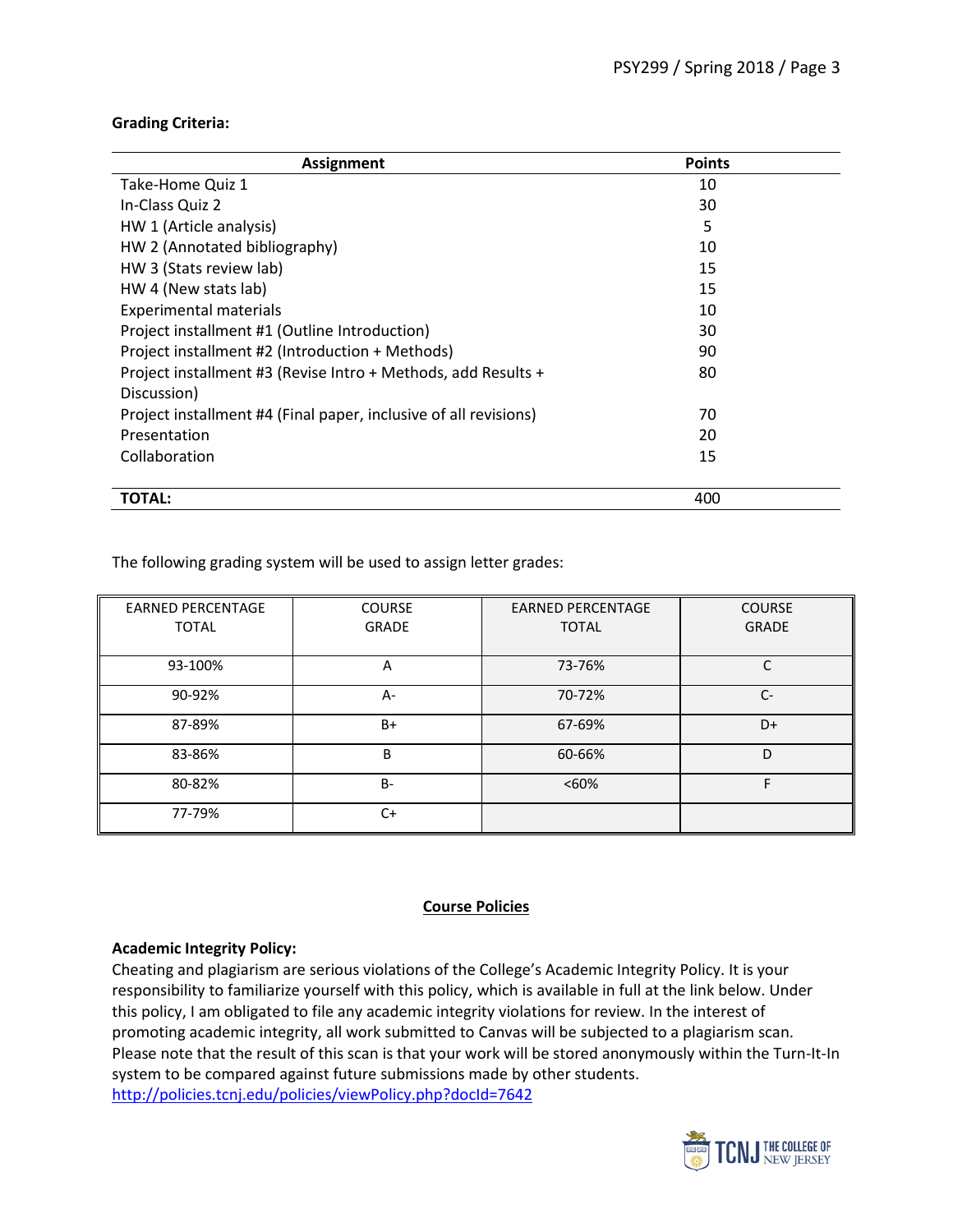## **Grading Criteria:**

| Assignment                                                       | <b>Points</b> |
|------------------------------------------------------------------|---------------|
| Take-Home Quiz 1                                                 | 10            |
| In-Class Quiz 2                                                  | 30            |
| HW 1 (Article analysis)                                          | 5             |
| HW 2 (Annotated bibliography)                                    | 10            |
| HW 3 (Stats review lab)                                          | 15            |
| HW 4 (New stats lab)                                             | 15            |
| <b>Experimental materials</b>                                    | 10            |
| Project installment #1 (Outline Introduction)                    | 30            |
| Project installment #2 (Introduction + Methods)                  | 90            |
| Project installment #3 (Revise Intro + Methods, add Results +    | 80            |
| Discussion)                                                      |               |
| Project installment #4 (Final paper, inclusive of all revisions) | 70            |
| Presentation                                                     | 20            |
| Collaboration                                                    | 15            |
| <b>TOTAL:</b>                                                    | 400           |

The following grading system will be used to assign letter grades:

| <b>EARNED PERCENTAGE</b> | <b>COURSE</b> | <b>EARNED PERCENTAGE</b> | <b>COURSE</b> |
|--------------------------|---------------|--------------------------|---------------|
| <b>TOTAL</b>             | <b>GRADE</b>  | <b>TOTAL</b>             | <b>GRADE</b>  |
|                          |               |                          |               |
| 93-100%                  | A             | 73-76%                   | C             |
| 90-92%                   | $A -$         | 70-72%                   | $C-$          |
| 87-89%                   | $B+$          | 67-69%                   | D+            |
| 83-86%                   | B             | 60-66%                   | D             |
| 80-82%                   | <b>B-</b>     | < 60%                    | F             |
| 77-79%                   | $C+$          |                          |               |

## **Course Policies**

#### **Academic Integrity Policy:**

Cheating and plagiarism are serious violations of the College's Academic Integrity Policy. It is your responsibility to familiarize yourself with this policy, which is available in full at the link below. Under this policy, I am obligated to file any academic integrity violations for review. In the interest of promoting academic integrity, all work submitted to Canvas will be subjected to a plagiarism scan. Please note that the result of this scan is that your work will be stored anonymously within the Turn-It-In system to be compared against future submissions made by other students. <http://policies.tcnj.edu/policies/viewPolicy.php?docId=7642>

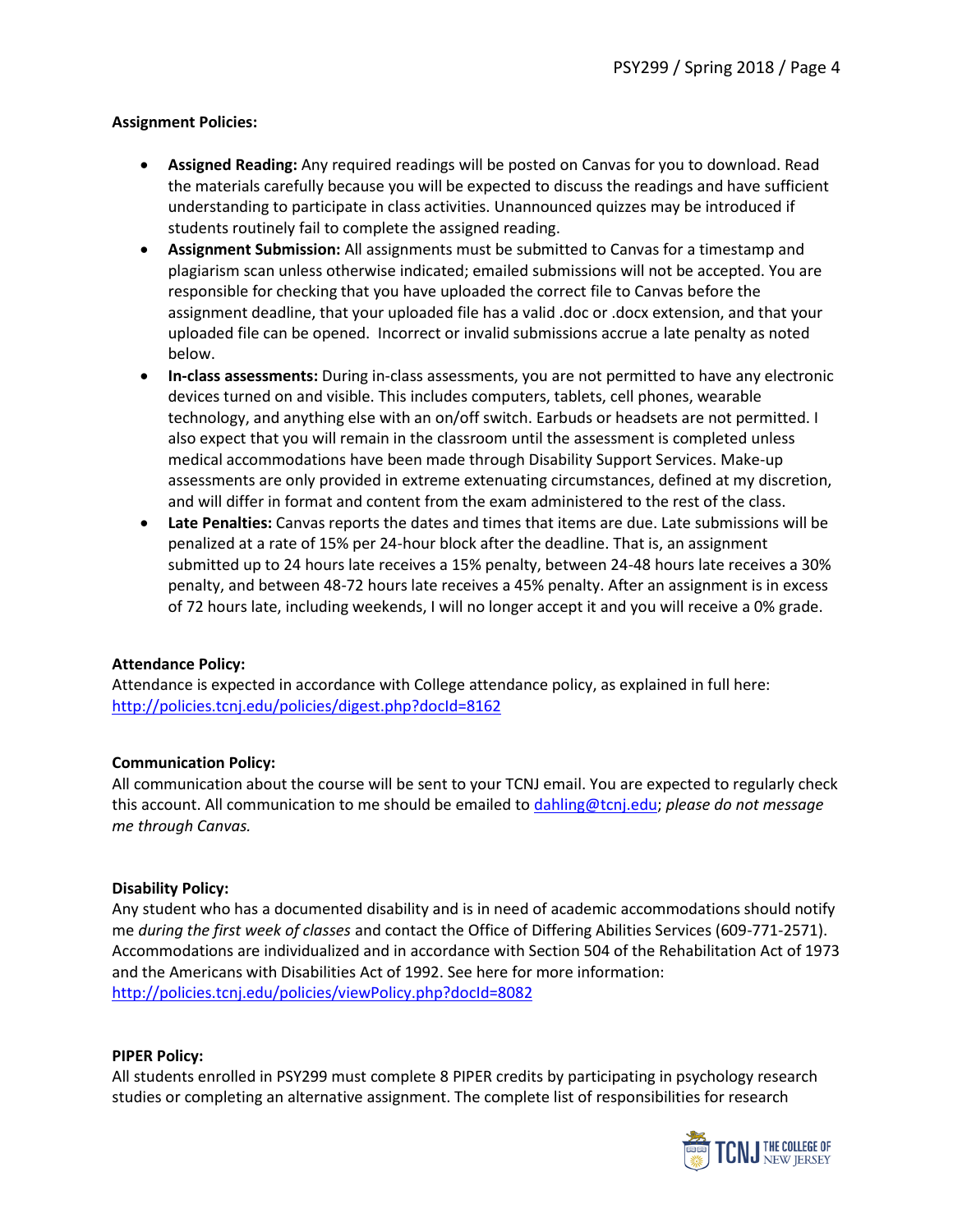## **Assignment Policies:**

- **Assigned Reading:** Any required readings will be posted on Canvas for you to download. Read the materials carefully because you will be expected to discuss the readings and have sufficient understanding to participate in class activities. Unannounced quizzes may be introduced if students routinely fail to complete the assigned reading.
- **Assignment Submission:** All assignments must be submitted to Canvas for a timestamp and plagiarism scan unless otherwise indicated; emailed submissions will not be accepted. You are responsible for checking that you have uploaded the correct file to Canvas before the assignment deadline, that your uploaded file has a valid .doc or .docx extension, and that your uploaded file can be opened. Incorrect or invalid submissions accrue a late penalty as noted below.
- **In-class assessments:** During in-class assessments, you are not permitted to have any electronic devices turned on and visible. This includes computers, tablets, cell phones, wearable technology, and anything else with an on/off switch. Earbuds or headsets are not permitted. I also expect that you will remain in the classroom until the assessment is completed unless medical accommodations have been made through Disability Support Services. Make-up assessments are only provided in extreme extenuating circumstances, defined at my discretion, and will differ in format and content from the exam administered to the rest of the class.
- **Late Penalties:** Canvas reports the dates and times that items are due. Late submissions will be penalized at a rate of 15% per 24-hour block after the deadline. That is, an assignment submitted up to 24 hours late receives a 15% penalty, between 24-48 hours late receives a 30% penalty, and between 48-72 hours late receives a 45% penalty. After an assignment is in excess of 72 hours late, including weekends, I will no longer accept it and you will receive a 0% grade.

## **Attendance Policy:**

Attendance is expected in accordance with College attendance policy, as explained in full here: <http://policies.tcnj.edu/policies/digest.php?docId=8162>

## **Communication Policy:**

All communication about the course will be sent to your TCNJ email. You are expected to regularly check this account. All communication to me should be emailed to [dahling@tcnj.edu;](mailto:dahling@tcnj.edu) *please do not message me through Canvas.*

## **Disability Policy:**

Any student who has a documented disability and is in need of academic accommodations should notify me *during the first week of classes* and contact the Office of Differing Abilities Services (609-771-2571). Accommodations are individualized and in accordance with Section 504 of the Rehabilitation Act of 1973 and the Americans with Disabilities Act of 1992. See here for more information: <http://policies.tcnj.edu/policies/viewPolicy.php?docId=8082>

## **PIPER Policy:**

All students enrolled in PSY299 must complete 8 PIPER credits by participating in psychology research studies or completing an alternative assignment. The complete list of responsibilities for research

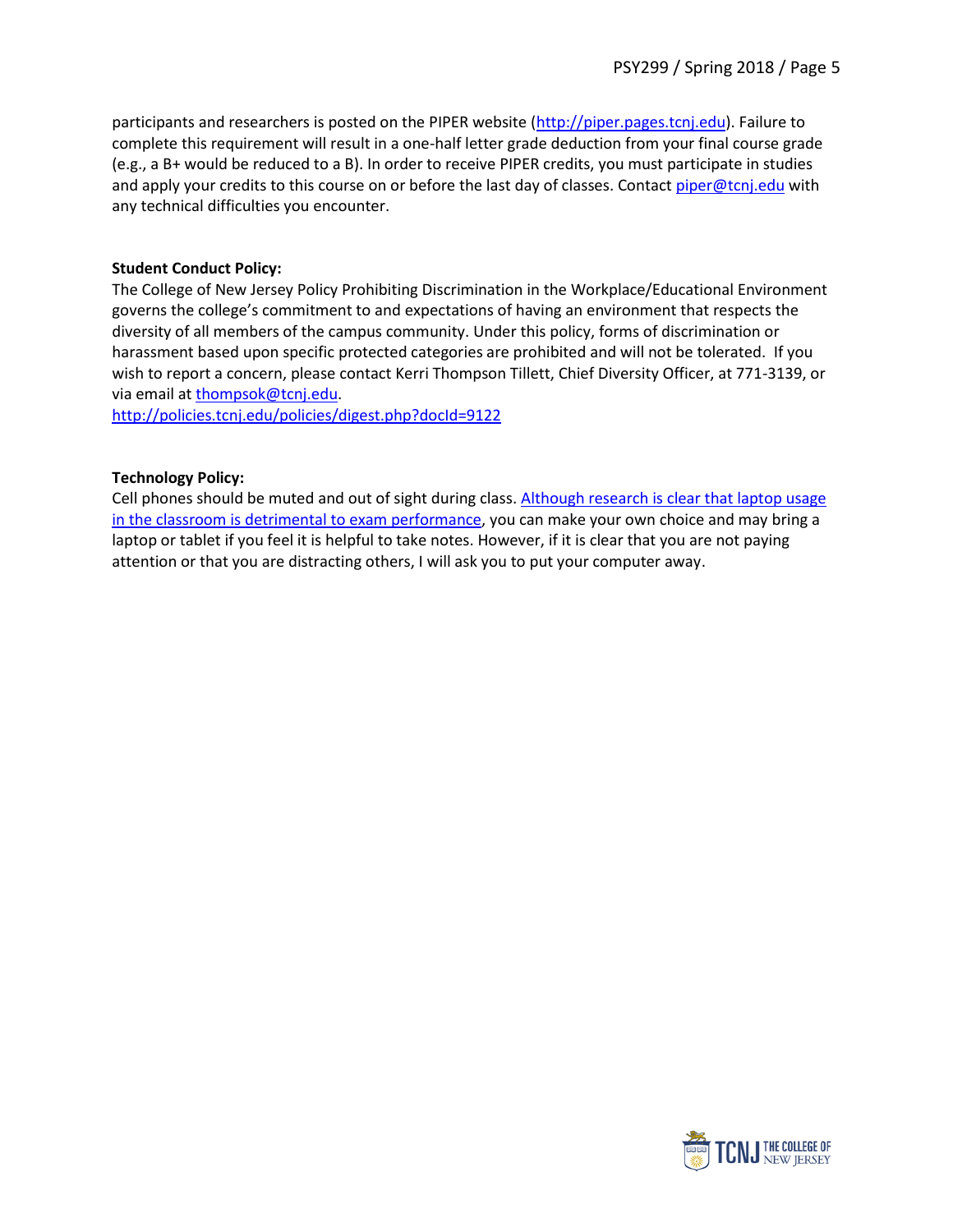participants and researchers is posted on the PIPER website [\(http://piper.pages.tcnj.edu\)](http://piper.pages.tcnj.edu/). Failure to complete this requirement will result in a one-half letter grade deduction from your final course grade (e.g., a B+ would be reduced to a B). In order to receive PIPER credits, you must participate in studies and apply your credits to this course on or before the last day of classes. Contact [piper@tcnj.edu](mailto:piper@tcnj.edu) with any technical difficulties you encounter.

## **Student Conduct Policy:**

The College of New Jersey Policy Prohibiting Discrimination in the Workplace/Educational Environment governs the college's commitment to and expectations of having an environment that respects the diversity of all members of the campus community. Under this policy, forms of discrimination or harassment based upon specific protected categories are prohibited and will not be tolerated. If you wish to report a concern, please contact Kerri Thompson Tillett, Chief Diversity Officer, at 771-3139, or via email at [thompsok@tcnj.edu.](mailto:thompsok@tcnj.edu)

<http://policies.tcnj.edu/policies/digest.php?docId=9122>

## **Technology Policy:**

Cell phones should be muted and out of sight during class. [Although research is clear that laptop usage](http://www.academia.edu/download/38592671/695_Sana_et_al._2013-laptops.pdf)  [in the classroom is detrimental to exam performance,](http://www.academia.edu/download/38592671/695_Sana_et_al._2013-laptops.pdf) you can make your own choice and may bring a laptop or tablet if you feel it is helpful to take notes. However, if it is clear that you are not paying attention or that you are distracting others, I will ask you to put your computer away.

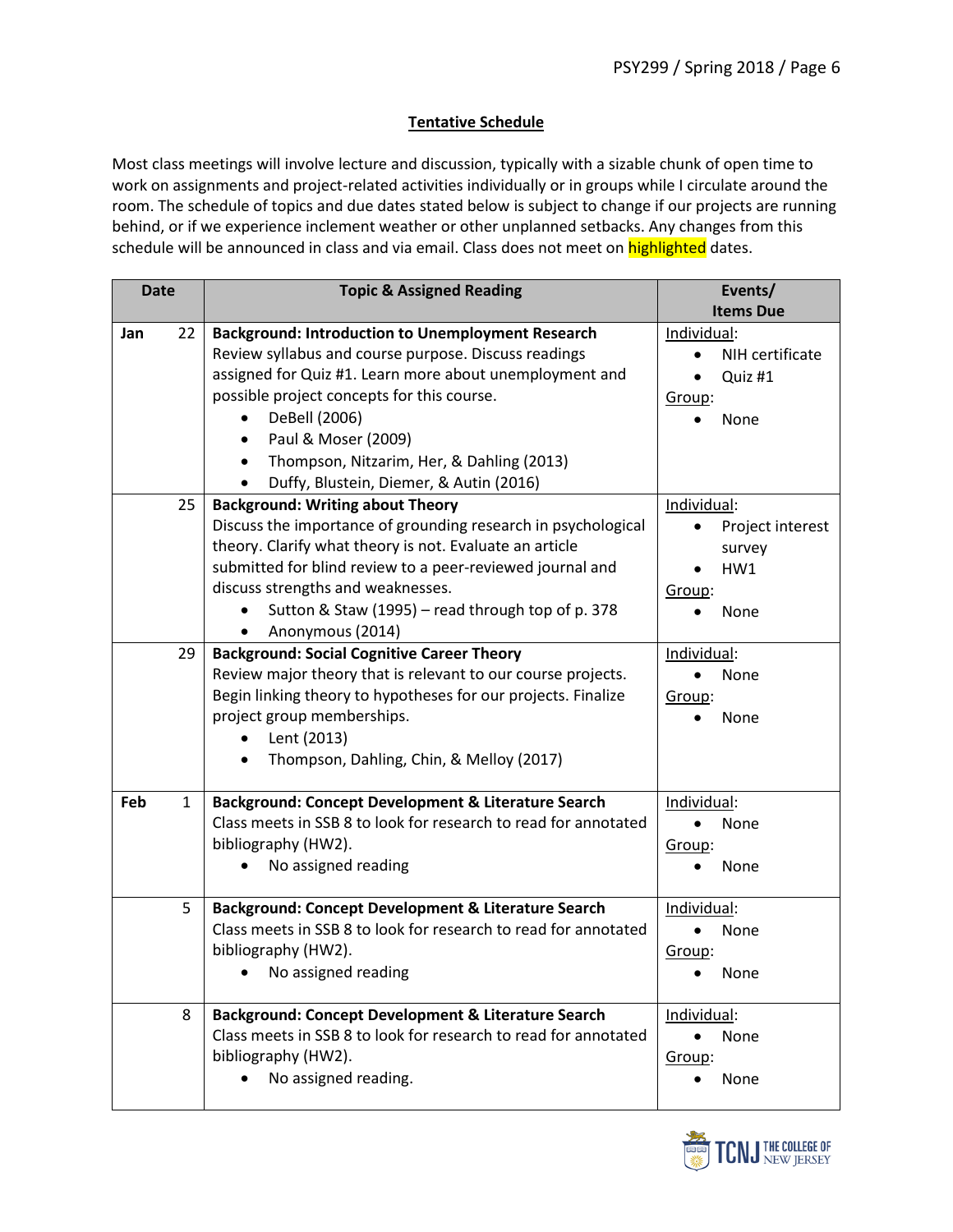## **Tentative Schedule**

Most class meetings will involve lecture and discussion, typically with a sizable chunk of open time to work on assignments and project-related activities individually or in groups while I circulate around the room. The schedule of topics and due dates stated below is subject to change if our projects are running behind, or if we experience inclement weather or other unplanned setbacks. Any changes from this schedule will be announced in class and via email. Class does not meet on highlighted dates.

| <b>Date</b>         | <b>Topic &amp; Assigned Reading</b>                             | Events/              |
|---------------------|-----------------------------------------------------------------|----------------------|
|                     |                                                                 | <b>Items Due</b>     |
| 22<br>Jan           | <b>Background: Introduction to Unemployment Research</b>        | Individual:          |
|                     | Review syllabus and course purpose. Discuss readings            | NIH certificate      |
|                     | assigned for Quiz #1. Learn more about unemployment and         | Quiz #1<br>$\bullet$ |
|                     | possible project concepts for this course.                      | Group:               |
|                     | DeBell (2006)                                                   | None                 |
|                     | Paul & Moser (2009)<br>٠                                        |                      |
|                     | Thompson, Nitzarim, Her, & Dahling (2013)<br>$\bullet$          |                      |
|                     | Duffy, Blustein, Diemer, & Autin (2016)                         |                      |
| 25                  | <b>Background: Writing about Theory</b>                         | Individual:          |
|                     | Discuss the importance of grounding research in psychological   | Project interest     |
|                     | theory. Clarify what theory is not. Evaluate an article         | survey               |
|                     | submitted for blind review to a peer-reviewed journal and       | HW1                  |
|                     | discuss strengths and weaknesses.                               | Group:               |
|                     | Sutton & Staw (1995) - read through top of p. 378               | None                 |
|                     | Anonymous (2014)                                                |                      |
| 29                  | <b>Background: Social Cognitive Career Theory</b>               | Individual:          |
|                     | Review major theory that is relevant to our course projects.    | None                 |
|                     | Begin linking theory to hypotheses for our projects. Finalize   | Group:               |
|                     | project group memberships.                                      | None                 |
|                     | Lent (2013)                                                     |                      |
|                     | Thompson, Dahling, Chin, & Melloy (2017)                        |                      |
|                     |                                                                 |                      |
| Feb<br>$\mathbf{1}$ | Background: Concept Development & Literature Search             | Individual:          |
|                     | Class meets in SSB 8 to look for research to read for annotated | None                 |
|                     | bibliography (HW2).                                             | Group:               |
|                     | No assigned reading                                             | None                 |
|                     |                                                                 |                      |
| 5                   | Background: Concept Development & Literature Search             | Individual:          |
|                     | Class meets in SSB 8 to look for research to read for annotated | None                 |
|                     | bibliography (HW2).                                             | Group:               |
|                     | • No assigned reading                                           | None                 |
|                     |                                                                 |                      |
| 8                   | Background: Concept Development & Literature Search             | Individual:          |
|                     | Class meets in SSB 8 to look for research to read for annotated | None<br>$\bullet$    |
|                     | bibliography (HW2).                                             | Group:               |
|                     | No assigned reading.                                            | None                 |
|                     |                                                                 |                      |

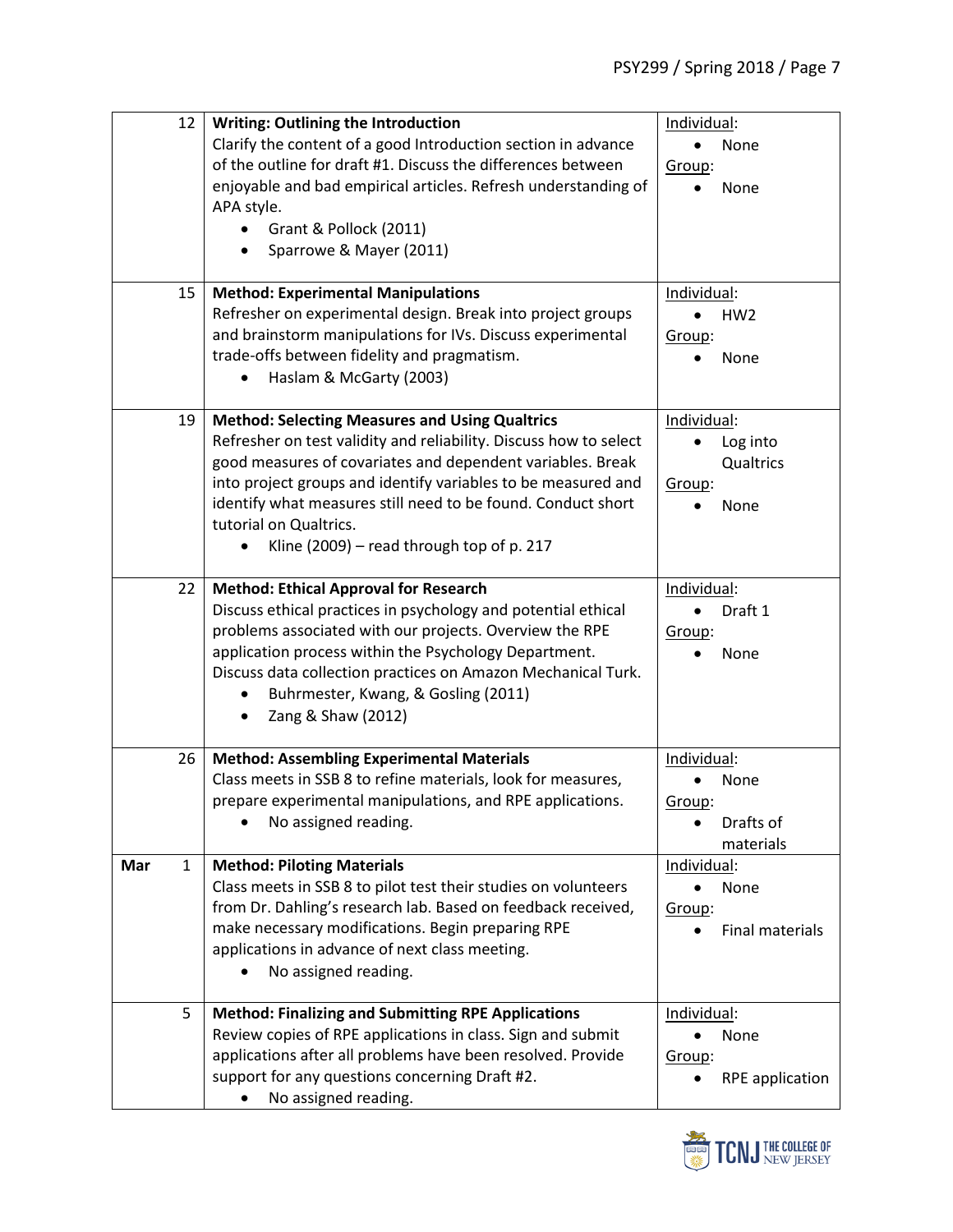|     | 12<br><b>Writing: Outlining the Introduction</b>                  | Individual:                  |
|-----|-------------------------------------------------------------------|------------------------------|
|     | Clarify the content of a good Introduction section in advance     | None<br>$\bullet$            |
|     | of the outline for draft #1. Discuss the differences between      | Group:                       |
|     | enjoyable and bad empirical articles. Refresh understanding of    | None                         |
|     | APA style.                                                        |                              |
|     | Grant & Pollock (2011)                                            |                              |
|     | Sparrowe & Mayer (2011)                                           |                              |
|     |                                                                   |                              |
|     | <b>Method: Experimental Manipulations</b><br>15                   | Individual:                  |
|     | Refresher on experimental design. Break into project groups       | HW <sub>2</sub><br>$\bullet$ |
|     | and brainstorm manipulations for IVs. Discuss experimental        | Group:                       |
|     | trade-offs between fidelity and pragmatism.                       | None                         |
|     | Haslam & McGarty (2003)<br>$\bullet$                              |                              |
|     |                                                                   |                              |
|     | 19<br><b>Method: Selecting Measures and Using Qualtrics</b>       | Individual:                  |
|     | Refresher on test validity and reliability. Discuss how to select | Log into                     |
|     | good measures of covariates and dependent variables. Break        | Qualtrics                    |
|     | into project groups and identify variables to be measured and     | Group:                       |
|     | identify what measures still need to be found. Conduct short      | None                         |
|     | tutorial on Qualtrics.                                            |                              |
|     | Kline (2009) – read through top of p. 217                         |                              |
|     |                                                                   |                              |
|     | <b>Method: Ethical Approval for Research</b><br>22                | Individual:                  |
|     | Discuss ethical practices in psychology and potential ethical     | Draft 1<br>$\bullet$         |
|     | problems associated with our projects. Overview the RPE           | Group:                       |
|     | application process within the Psychology Department.             | None                         |
|     | Discuss data collection practices on Amazon Mechanical Turk.      |                              |
|     | Buhrmester, Kwang, & Gosling (2011)                               |                              |
|     | Zang & Shaw (2012)                                                |                              |
|     |                                                                   |                              |
|     | <b>Method: Assembling Experimental Materials</b><br>26            | Individual:                  |
|     | Class meets in SSB 8 to refine materials, look for measures,      | None                         |
|     | prepare experimental manipulations, and RPE applications.         | Group:                       |
|     | No assigned reading.                                              | Drafts of                    |
|     |                                                                   | materials                    |
| Mar | <b>Method: Piloting Materials</b><br>$\mathbf{1}$                 | Individual:                  |
|     | Class meets in SSB 8 to pilot test their studies on volunteers    | None                         |
|     | from Dr. Dahling's research lab. Based on feedback received,      | Group:                       |
|     | make necessary modifications. Begin preparing RPE                 | <b>Final materials</b>       |
|     | applications in advance of next class meeting.                    |                              |
|     | No assigned reading.                                              |                              |
|     |                                                                   |                              |
|     | <b>Method: Finalizing and Submitting RPE Applications</b><br>5    | Individual:                  |
|     | Review copies of RPE applications in class. Sign and submit       | None<br>$\bullet$            |
|     | applications after all problems have been resolved. Provide       | Group:                       |
|     | support for any questions concerning Draft #2.                    | <b>RPE</b> application       |
|     | No assigned reading.<br>$\bullet$                                 |                              |
|     |                                                                   |                              |

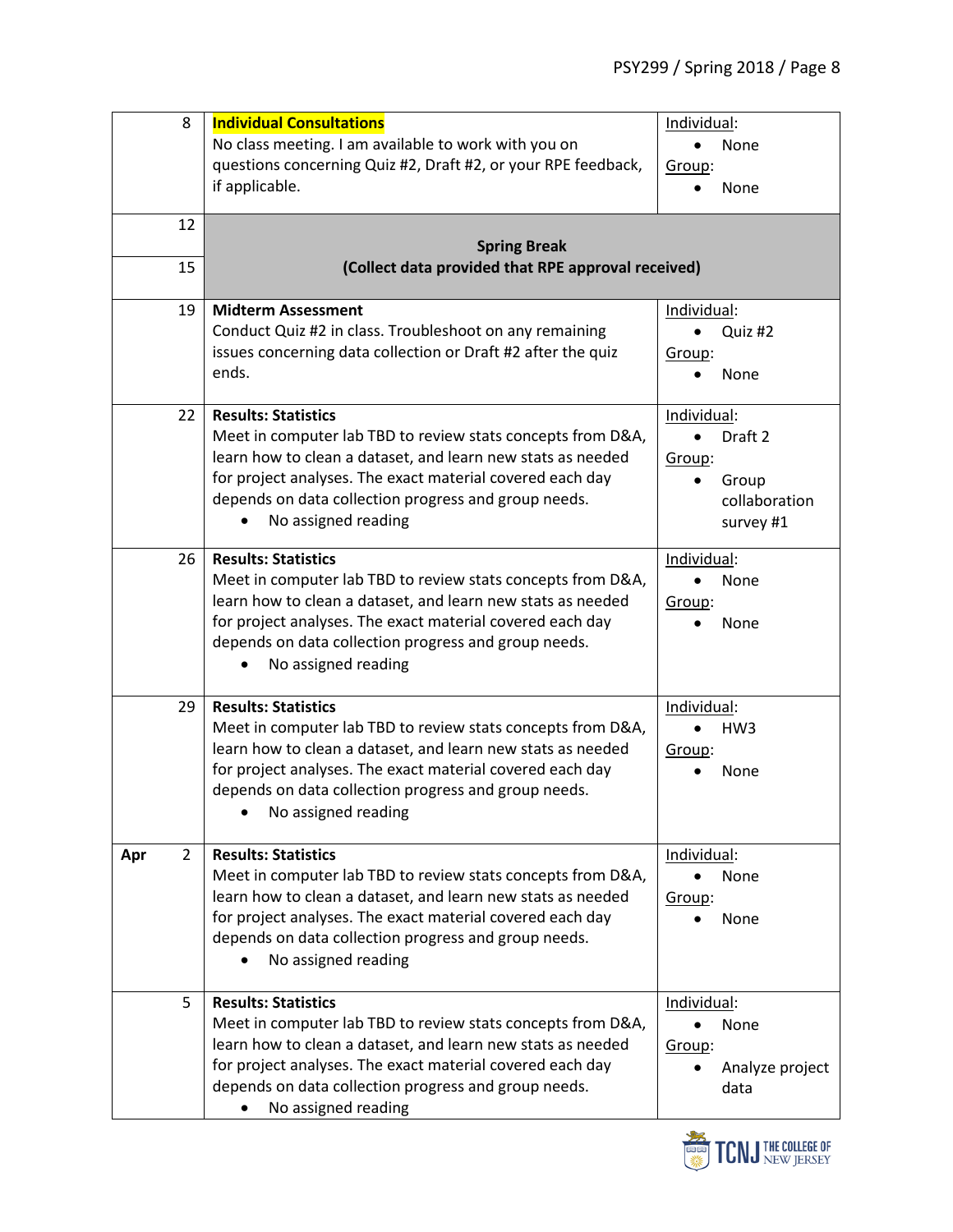| 8                     | <b>Individual Consultations</b>                               | Individual:          |
|-----------------------|---------------------------------------------------------------|----------------------|
|                       | No class meeting. I am available to work with you on          | None                 |
|                       | questions concerning Quiz #2, Draft #2, or your RPE feedback, | Group:               |
|                       | if applicable.                                                | None                 |
| 12                    |                                                               |                      |
|                       | <b>Spring Break</b>                                           |                      |
| 15                    | (Collect data provided that RPE approval received)            |                      |
| 19                    | <b>Midterm Assessment</b>                                     | Individual:          |
|                       | Conduct Quiz #2 in class. Troubleshoot on any remaining       | Quiz #2<br>$\bullet$ |
|                       | issues concerning data collection or Draft #2 after the quiz  | Group:               |
|                       | ends.                                                         | None                 |
| 22                    | <b>Results: Statistics</b>                                    | Individual:          |
|                       | Meet in computer lab TBD to review stats concepts from D&A,   | Draft 2<br>٠         |
|                       | learn how to clean a dataset, and learn new stats as needed   | Group:               |
|                       | for project analyses. The exact material covered each day     | Group                |
|                       | depends on data collection progress and group needs.          | collaboration        |
|                       | No assigned reading                                           | survey #1            |
| 26                    | <b>Results: Statistics</b>                                    | Individual:          |
|                       | Meet in computer lab TBD to review stats concepts from D&A,   | None                 |
|                       | learn how to clean a dataset, and learn new stats as needed   | Group:               |
|                       | for project analyses. The exact material covered each day     | None                 |
|                       | depends on data collection progress and group needs.          |                      |
|                       | No assigned reading                                           |                      |
| 29                    | <b>Results: Statistics</b>                                    | Individual:          |
|                       | Meet in computer lab TBD to review stats concepts from D&A,   | HW <sub>3</sub>      |
|                       | learn how to clean a dataset, and learn new stats as needed   | Group:               |
|                       | for project analyses. The exact material covered each day     | None                 |
|                       | depends on data collection progress and group needs.          |                      |
|                       | No assigned reading                                           |                      |
| $\overline{2}$<br>Apr | <b>Results: Statistics</b>                                    | Individual:          |
|                       | Meet in computer lab TBD to review stats concepts from D&A,   | None                 |
|                       | learn how to clean a dataset, and learn new stats as needed   | Group:               |
|                       | for project analyses. The exact material covered each day     | None                 |
|                       | depends on data collection progress and group needs.          |                      |
|                       | No assigned reading                                           |                      |
| 5                     | <b>Results: Statistics</b>                                    | Individual:          |
|                       | Meet in computer lab TBD to review stats concepts from D&A,   | None<br>$\bullet$    |
|                       | learn how to clean a dataset, and learn new stats as needed   | Group:               |
|                       | for project analyses. The exact material covered each day     | Analyze project      |
|                       | depends on data collection progress and group needs.          | data                 |
|                       | No assigned reading                                           |                      |

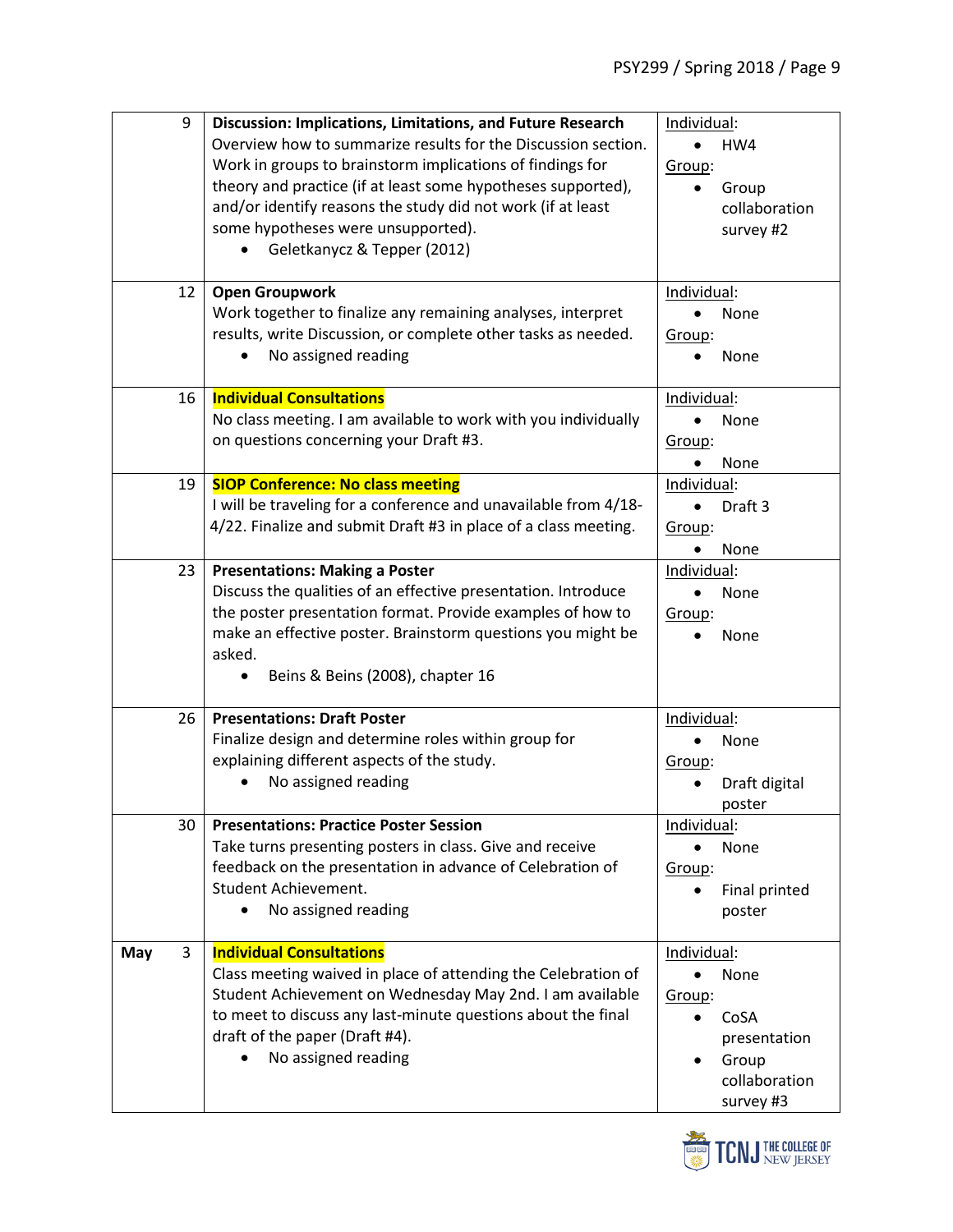| 9        | Discussion: Implications, Limitations, and Future Research<br>Overview how to summarize results for the Discussion section.<br>Work in groups to brainstorm implications of findings for                                                                                              | Individual:<br>HW4<br>$\bullet$                                                              |
|----------|---------------------------------------------------------------------------------------------------------------------------------------------------------------------------------------------------------------------------------------------------------------------------------------|----------------------------------------------------------------------------------------------|
|          | theory and practice (if at least some hypotheses supported),<br>and/or identify reasons the study did not work (if at least<br>some hypotheses were unsupported).<br>Geletkanycz & Tepper (2012)                                                                                      | Group:<br>Group<br>collaboration<br>survey #2                                                |
| 12       | <b>Open Groupwork</b><br>Work together to finalize any remaining analyses, interpret<br>results, write Discussion, or complete other tasks as needed.<br>No assigned reading                                                                                                          | Individual:<br>$\bullet$<br>None<br>Group:<br>None                                           |
| 16       | <b>Individual Consultations</b><br>No class meeting. I am available to work with you individually<br>on questions concerning your Draft #3.                                                                                                                                           | Individual:<br>None<br>Group:<br>None<br>$\bullet$                                           |
| 19       | <b>SIOP Conference: No class meeting</b><br>I will be traveling for a conference and unavailable from 4/18-<br>4/22. Finalize and submit Draft #3 in place of a class meeting.                                                                                                        | Individual:<br>Draft 3<br>$\bullet$<br>Group:<br>None                                        |
| 23       | <b>Presentations: Making a Poster</b><br>Discuss the qualities of an effective presentation. Introduce<br>the poster presentation format. Provide examples of how to<br>make an effective poster. Brainstorm questions you might be<br>asked.<br>Beins & Beins (2008), chapter 16     | Individual:<br>None<br>$\bullet$<br>Group:<br>None                                           |
| 26       | <b>Presentations: Draft Poster</b><br>Finalize design and determine roles within group for<br>explaining different aspects of the study.<br>No assigned reading                                                                                                                       | Individual:<br>None<br>Group:<br>Draft digital<br>poster                                     |
| 30       | <b>Presentations: Practice Poster Session</b><br>Take turns presenting posters in class. Give and receive<br>feedback on the presentation in advance of Celebration of<br>Student Achievement.<br>No assigned reading<br>$\bullet$                                                    | Individual:<br>None<br>$\bullet$<br>Group:<br>Final printed<br>poster                        |
| 3<br>May | <b>Individual Consultations</b><br>Class meeting waived in place of attending the Celebration of<br>Student Achievement on Wednesday May 2nd. I am available<br>to meet to discuss any last-minute questions about the final<br>draft of the paper (Draft #4).<br>No assigned reading | Individual:<br>None<br>Group:<br>CoSA<br>presentation<br>Group<br>collaboration<br>survey #3 |